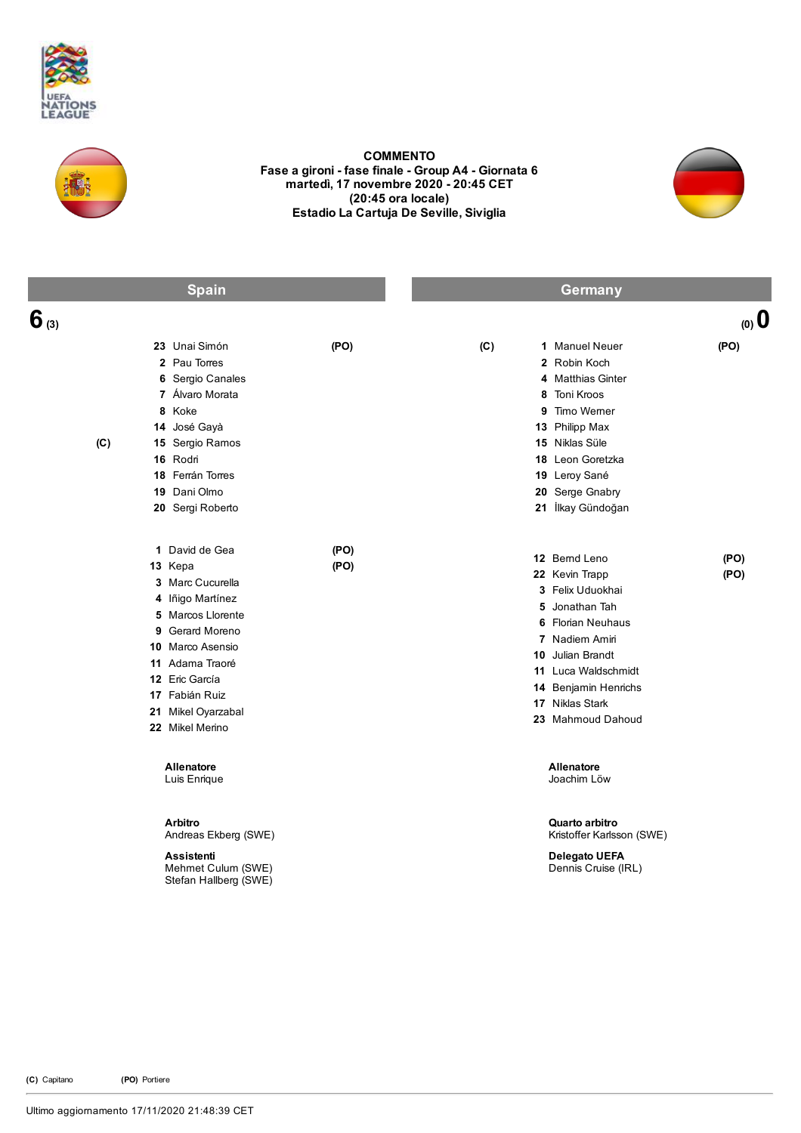



COMMENTO Fase a gironi - fase finale - Group A4 - Giornata 6 martedì, 17 novembre 2020 20:45 CET (20:45 ora locale) Estadio La Cartuja De Seville, Siviglia



| <u>Spain</u>                                                                                                                                                                                                                  |                                             | Germany |                                             |                                                                                                                                                                                                                                                                                                                                                                                                                                                                                                                    |  |  |
|-------------------------------------------------------------------------------------------------------------------------------------------------------------------------------------------------------------------------------|---------------------------------------------|---------|---------------------------------------------|--------------------------------------------------------------------------------------------------------------------------------------------------------------------------------------------------------------------------------------------------------------------------------------------------------------------------------------------------------------------------------------------------------------------------------------------------------------------------------------------------------------------|--|--|
|                                                                                                                                                                                                                               |                                             |         |                                             | (0, 0)                                                                                                                                                                                                                                                                                                                                                                                                                                                                                                             |  |  |
| 23 Unai Simón<br>2 Pau Torres<br>6 Sergio Canales<br>7 Álvaro Morata<br>8 Koke<br>14 José Gayà<br>15 Sergio Ramos<br>16 Rodri<br>18 Ferrán Torres<br>19 Dani Olmo<br>20 Sergi Roberto                                         | (PO)                                        | (C)     |                                             | (PO)                                                                                                                                                                                                                                                                                                                                                                                                                                                                                                               |  |  |
| 1 David de Gea<br>13 Kepa<br>3 Marc Cucurella<br>4 Iñigo Martínez<br>5 Marcos Llorente<br>9 Gerard Moreno<br>10 Marco Asensio<br>11 Adama Traoré<br>12 Eric García<br>17 Fabián Ruiz<br>21 Mikel Oyarzabal<br>22 Mikel Merino | (PO)<br>(PO)                                |         |                                             | (PO)<br>(PO)                                                                                                                                                                                                                                                                                                                                                                                                                                                                                                       |  |  |
| Allenatore<br>Luis Enrique<br><b>Arbitro</b><br>Andreas Ekberg (SWE)<br><b>Assistenti</b>                                                                                                                                     |                                             |         | Allenatore<br>Joachim Löw<br>Quarto arbitro |                                                                                                                                                                                                                                                                                                                                                                                                                                                                                                                    |  |  |
|                                                                                                                                                                                                                               | Mehmet Culum (SWE)<br>Stefan Hallberg (SWE) |         |                                             | 1 Manuel Neuer<br>2 Robin Koch<br>4 Matthias Ginter<br>8 Toni Kroos<br>9 Timo Werner<br>13 Philipp Max<br>15 Niklas Süle<br>18 Leon Goretzka<br>19 Leroy Sané<br>20 Serge Gnabry<br>21 İlkay Gündoğan<br>12 Bemd Leno<br>22 Kevin Trapp<br>3 Felix Uduokhai<br>5 Jonathan Tah<br><b>6</b> Florian Neuhaus<br>7 Nadiem Amiri<br>10 Julian Brandt<br>11 Luca Waldschmidt<br>14 Benjamin Henrichs<br>17 Niklas Stark<br>23 Mahmoud Dahoud<br>Kristoffer Karlsson (SWE)<br><b>Delegato UEFA</b><br>Dennis Cruise (IRL) |  |  |

(C) Capitano (PO) Portiere